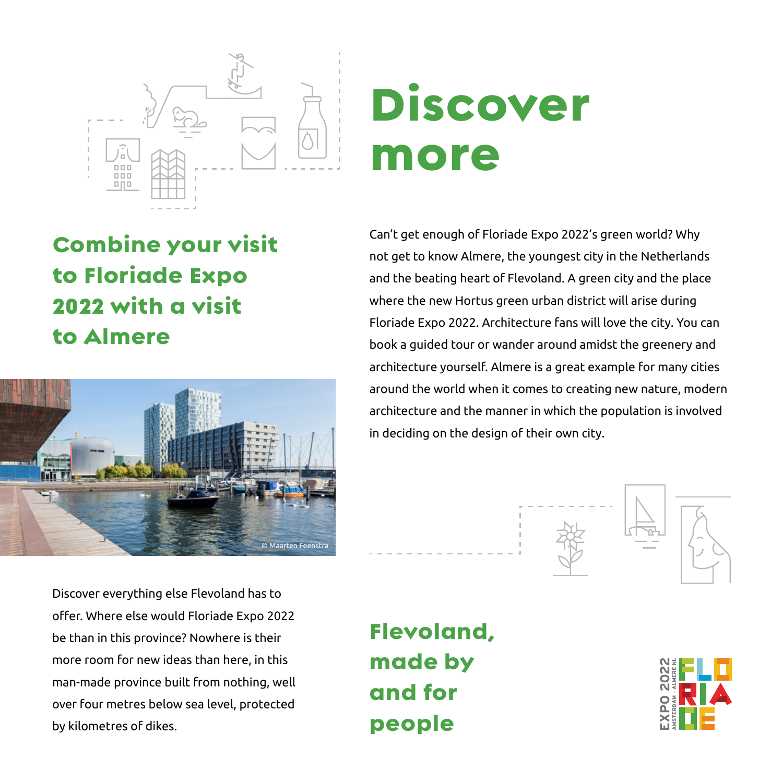

## Discover more

Combine your visit to Floriade Expo 2022 with a visit to Almere



Discover everything else Flevoland has to offer. Where else would Floriade Expo 2022 be than in this province? Nowhere is their more room for new ideas than here, in this man-made province built from nothing, well over four metres below sea level, protected by kilometres of dikes.

Can't get enough of Floriade Expo 2022's green world? Why not get to know Almere, the youngest city in the Netherlands and the beating heart of Flevoland. A green city and the place where the new Hortus green urban district will arise during Floriade Expo 2022. Architecture fans will love the city. You can book a guided tour or wander around amidst the greenery and architecture yourself. Almere is a great example for many cities around the world when it comes to creating new nature, modern architecture and the manner in which the population is involved in deciding on the design of their own city.



Flevoland, made by and for people